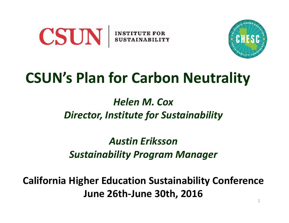



# CSUN's Plan for Carbon Neutrality

### Helen M. Cox Director, Institute for Sustainability

Austin Eriksson Sustainability Program Manager

1 California Higher Education Sustainability Conference June 26th-June 30th, 2016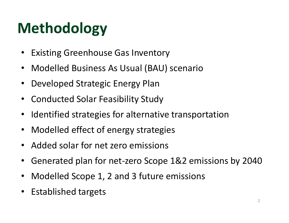# Methodology

- Existing Greenhouse Gas Inventory
- Modelled Business As Usual (BAU) scenario
- Developed Strategic Energy Plan
- Conducted Solar Feasibility Study
- Identified strategies for alternative transportation
- Modelled effect of energy strategies
- Added solar for net zero emissions
- Generated plan for net-zero Scope 1&2 emissions by 2040
- Modelled Scope 1, 2 and 3 future emissions
- Established targets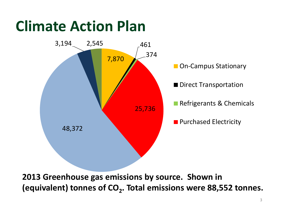# Climate Action Plan



2013 Greenhouse gas emissions by source. Shown in (equivalent) tonnes of  $CO_2$ . Total emissions were 88,552 tonnes.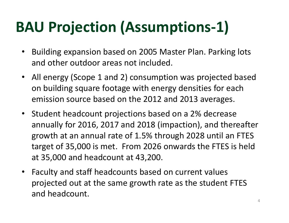# BAU Projection (Assumptions-1)

- Building expansion based on 2005 Master Plan. Parking lots and other outdoor areas not included.
- All energy (Scope 1 and 2) consumption was projected based on building square footage with energy densities for each emission source based on the 2012 and 2013 averages.
- Student headcount projections based on a 2% decrease annually for 2016, 2017 and 2018 (impaction), and thereafter growth at an annual rate of 1.5% through 2028 until an FTES target of 35,000 is met. From 2026 onwards the FTES is held at 35,000 and headcount at 43,200.
- Faculty and staff headcounts based on current values projected out at the same growth rate as the student FTES and headcount.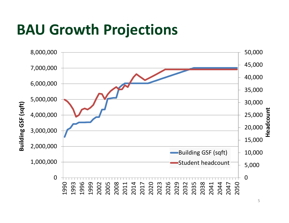# BAU Growth Projections

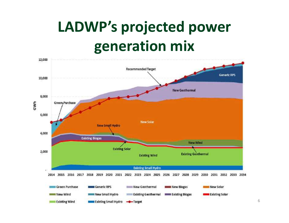# LADWP's projected power generation mix

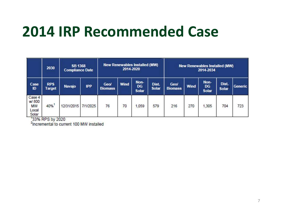# 2014 IRP Recommended Case

|                                         | 2030                        | <b>SB 1368</b><br><b>Compliance Date</b> |            | <b>New Renewables Installed (MW)</b><br>2014-2020 |      |                                   |                       |                               |      | <b>New Renewables Installed (MW)</b><br>2014-2034 |                       |         |
|-----------------------------------------|-----------------------------|------------------------------------------|------------|---------------------------------------------------|------|-----------------------------------|-----------------------|-------------------------------|------|---------------------------------------------------|-----------------------|---------|
| <b>Case</b><br>ID                       | <b>RPS</b><br><b>Target</b> | <b>Navajo</b>                            | <b>IPP</b> | <b>Geol</b><br><b>Biomass</b>                     | Wind | Non-<br><b>DG</b><br><b>Solar</b> | Dist.<br><b>Solar</b> | <b>Geol</b><br><b>Biomass</b> | Wind | Non-<br><b>DG</b><br><b>Solar</b>                 | Dist.<br><b>Solar</b> | Generic |
| Case 4<br>w/800<br>MW<br>Local<br>Solar | 40%                         | 12/31/2015                               | 7/1/2025   | 76                                                | 70   | 1,059                             | 579                   | 216                           | 270  | 1,305                                             | 704                   | 723     |

<sup>1</sup>33% RPS by 2020<br><sup>2</sup>Incremental to current 100 MW installed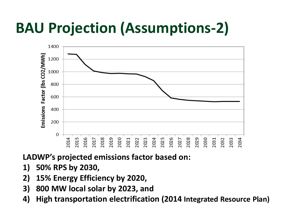# BAU Projection (Assumptions-2)



LADWP's projected emissions factor based on:

- 
- 
- 
- High transportation electrification (2014 Integrated Resource Plan)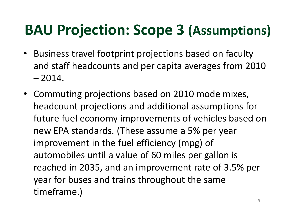# BAU Projection: Scope 3 (Assumptions)

- Business travel footprint projections based on faculty and staff headcounts and per capita averages from 2010 **AU Projection: Scop**<br>Business travel footprint projed<br>and staff headcounts and per c<br>– 2014.<br>Commuting projections based
- Commuting projections based on 2010 mode mixes, headcount projections and additional assumptions for future fuel economy improvements of vehicles based on new EPA standards. (These assume a 5% per year improvement in the fuel efficiency (mpg) of automobiles until a value of 60 miles per gallon is reached in 2035, and an improvement rate of 3.5% per year for buses and trains throughout the same timeframe.)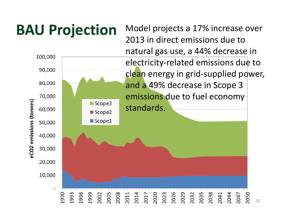# **BAU Projection** Model projects a 17% increase over

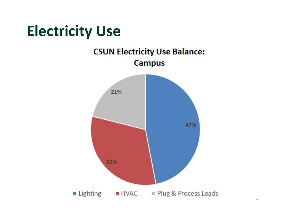# Electricity Use**CSUN Electricity Use Balance: Campus** 21%

32%

**Lighting** 



47%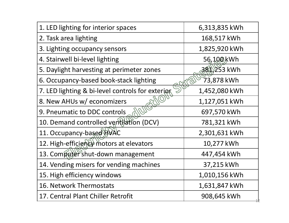| 1. LED lighting for interior spaces              | 6,313,835 kWh |
|--------------------------------------------------|---------------|
| 2. Task area lighting                            | 168,517 kWh   |
| 3. Lighting occupancy sensors                    | 1,825,920 kWh |
| 4. Stairwell bi-level lighting                   | 56,100 kWh    |
| 5. Daylight harvesting at perimeter zones        | 381,253 kWh   |
| 6. Occupancy-based book-stack lighting           | 73,878 kWh    |
| 7. LED lighting & bi-level controls for exterior | 1,452,080 kWh |
| AZIO<br>8. New AHUs w/ economizers               | 1,127,051 kWh |
| 9. Pneumatic to DDC controls                     | 697,570 kWh   |
| 10. Demand controlled ventilation (DCV)          | 781,321 kWh   |
| 11. Occupancy-based HVAC                         | 2,301,631 kWh |
| 12. High-efficiency motors at elevators          | 10,277 kWh    |
| 13. Compater shut-down management                | 447,454 kWh   |
| 14. Vending misers for vending machines          | 37,215 kWh    |
| 15. High efficiency windows                      | 1,010,156 kWh |
| 16. Network Thermostats                          | 1,631,847 kWh |
| 17. Central Plant Chiller Retrofit               | 908,645 kWh   |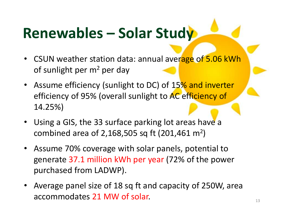# Renewables – Solar Study<br>• CSUN weather station data: annual average of 5.06 kWh

- CSUN weather station data: annual average of 5.06 kWh of sunlight per  $m^2$  per day
- Assume efficiency (sunlight to DC) of 15% and inverter efficiency of 95% (overall sunlight to AC efficiency of 14.25%) CSUN weather station data: annual average of 5.06 kWh<br>of sunlight per m<sup>2</sup> per day<br>Assume efficiency (sunlight to DC) of 15% and inverter<br>efficiency of 95% (overall sunlight to AC efficiency of<br>14.25%)<br>Using a GIS, the 33
- Using a GIS, the 33 surface parking lot areas have a )
- Assume 70% coverage with solar panels, potential to generate 37.1 million kWh per year (72% of the power purchased from LADWP). eniciency of 95% (overall sumilght to AC enteriency of 14.25%)<br>
• Using a GIS, the 33 surface parking lot areas have a<br>
combined area of 2,168,505 sq ft (201,461 m<sup>2</sup>)<br>
• Assume 70% coverage with solar panels, potential to
- accommodates 21 MW of solar.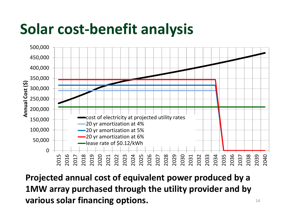# Solar cost-benefit analysis



Projected annual cost of equivalent power produced by a 1MW array purchased through the utility provider and by various solar financing options.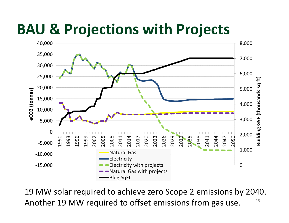# BAU & Projections with Projects



15 19 MW solar required to achieve zero Scope 2 emissions by 2040. Another 19 MW required to offset emissions from gas use.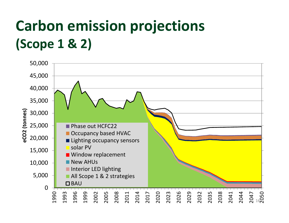# Carbon emission projections<br>(Scope 1 & 2) (Scope 1 & 2)

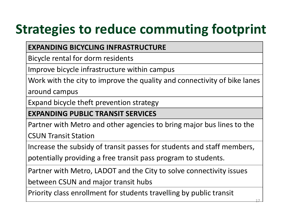# Strategies to reduce commuting footprint

### EXPANDING BICYCLING INFRASTRUCTURE

Bicycle rental for dorm residents

Improve bicycle infrastructure within campus

Work with the city to improve the quality and connectivity of bike lanes

around campus

Expand bicycle theft prevention strategy

EXPANDING PUBLIC TRANSIT SERVICES

Partner with Metro and other agencies to bring major bus lines to the

CSUN Transit Station

Increase the subsidy of transit passes for students and staff members,

potentially providing a free transit pass program to students.

Partner with Metro, LADOT and the City to solve connectivity issues

between CSUN and major transit hubs

Priority class enrollment for students travelling by public transit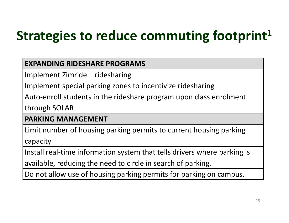# Strategies to reduce commuting footprint<sup>1</sup> **Trategies to reduce commuting**<br> **EXPANDING RIDESHARE PROGRAMS**<br>
Implement Zimride – ridesharing<br>
Implement special parking zones to incentivize ridesharing<br>
Auto-enroll students in the rideshare program upon class e

### EXPANDING RIDESHARE PROGRAMS

Implement special parking zones to incentivize ridesharing

Auto-enroll students in the rideshare program upon class enrolment

through SOLAR

### PARKING MANAGEMENT

Limit number of housing parking permits to current housing parking

capacity

Install real-time information system that tells drivers where parking is

available, reducing the need to circle in search of parking.

Do not allow use of housing parking permits for parking on campus.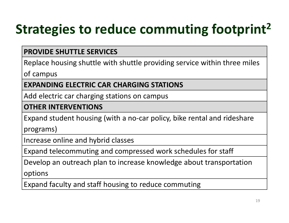# Strategies to reduce commuting footprint<sup>2</sup>

### PROVIDE SHUTTLE SERVICES

Replace housing shuttle with shuttle providing service within three miles

of campus

EXPANDING ELECTRIC CAR CHARGING STATIONS

Add electric car charging stations on campus

#### OTHER INTERVENTIONS

Expand student housing (with a no-car policy, bike rental and rideshare

programs)

Increase online and hybrid classes

Expand telecommuting and compressed work schedules for staff

Develop an outreach plan to increase knowledge about transportation

options

Expand faculty and staff housing to reduce commuting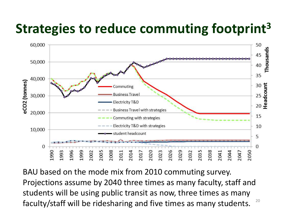## Strategies to reduce commuting footprint<sup>3</sup>



20 BAU based on the mode mix from 2010 commuting survey. Projections assume by 2040 three times as many faculty, staff and students will be using public transit as now, three times as many faculty/staff will be ridesharing and five times as many students.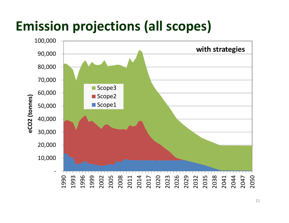### Emission projections (all scopes)

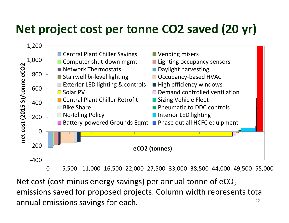

22 emissions saved for proposed projects. Column width represents total annual emissions savings for each.